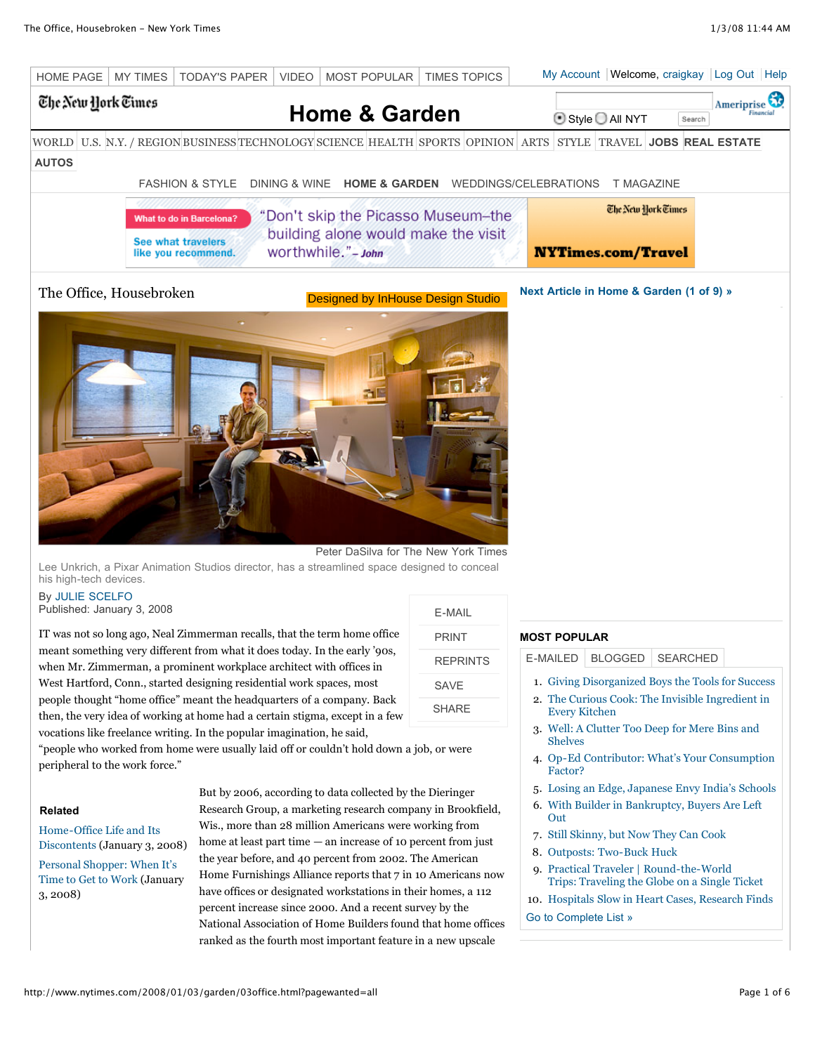

# The Office, Housebroken



Lee Unkrich, a Pixar Animation Studios director, has a streamlined space designed to conceal his high-tech devices.

By [JULIE SCELFO](http://topics.nytimes.com/top/reference/timestopics/people/s/julie_scelfo/index.html?inline=nyt-per) Published: January 3, 2008

IT was not so long ago, Neal Zimmerman recalls, that the term home office meant something very different from what it does today. In the early '90s, when Mr. Zimmerman, a prominent workplace architect with offices in West Hartford, Conn., started designing residential work spaces, most people thought "home office" meant the headquarters of a company. Back then, the very idea of working at home had a certain stigma, except in a few vocations like freelance writing. In the popular imagination, he said,

"people who worked from home were usually laid off or couldn't hold down a job, or were peripheral to the work force."

## **Related**

[Home-Office Life and Its](http://www.nytimes.com/2008/01/03/garden/03nooffice.html?ref=garden) Discontents (January 3, 2008)

[Personal Shopper: When It's](http://www.nytimes.com/2008/01/03/garden/03shop.html?ref=garden) Time to Get to Work (January 3, 2008)

But by 2006, according to data collected by the Dieringer Research Group, a marketing research company in Brookfield, Wis., more than 28 million Americans were working from home at least part time — an increase of 10 percent from just the year before, and 40 percent from 2002. The American Home Furnishings Alliance reports that 7 in 10 Americans now have offices or designated workstations in their homes, a 112 percent increase since 2000. And a recent survey by the National Association of Home Builders found that home offices ranked as the fourth most important feature in a new upscale

# **[Next Article in Home & Garden \(1 of 9\) »](http://www.nytimes.com/2008/01/03/garden/03nooffice.html)**

## **MOST POPULAR**

[E-MAIL](javascript:document.emailThis.submit();) [PRINT](http://www.nytimes.com/2008/01/03/garden/03office.html?pagewanted=print)

[REPRINTS](http://www.nytimes.com/2008/01/03/garden/03office.html?pagewanted=all#)

[SAVE](http://www.nytimes.com/2008/01/03/garden/03office.html?pagewanted=all#) [SHARE](http://www.nytimes.com/2008/01/03/garden/03office.html?pagewanted=all#)

|  |  | E-MAILED   BLOGGED   SEARCHED |  |
|--|--|-------------------------------|--|
|--|--|-------------------------------|--|

- 1. [Giving Disorganized Boys the Tools for Success](http://www.nytimes.com/2008/01/01/education/01boys.html?em&ex=1199509200&en=e94074908a5e2f28&ei=5087%0A)
- 2. [The Curious Cook: The Invisible Ingredient in](http://www.nytimes.com/2008/01/02/dining/02curi.html?em&ex=1199509200&en=a60dadce995876c5&ei=5087%0A) Every Kitchen
- 3. [Well: A Clutter Too Deep for Mere Bins and](http://www.nytimes.com/2008/01/01/health/01well.html?em&ex=1199509200&en=f2d0bd6a1103b434&ei=5087%0A) Shelves
- 4. [Op-Ed Contributor: What's Your Consumption](http://www.nytimes.com/2008/01/02/opinion/02diamond.html?em&ex=1199509200&en=6f044fea2e97c0b9&ei=5087%0A) Factor?
- 5. [Losing an Edge, Japanese Envy India's Schools](http://www.nytimes.com/2008/01/02/business/worldbusiness/02japan.html?em&ex=1199509200&en=f441f239eb89ff26&ei=5087%0A)
- 6. [With Builder in Bankruptcy, Buyers Are Left](http://www.nytimes.com/2008/01/03/business/03abandon.html?em&ex=1199509200&en=f83fc0bd8dd5be51&ei=5087%0A) Out
- 7. [Still Skinny, but Now They Can Cook](http://www.nytimes.com/2008/01/02/dining/02skin.html?em&ex=1199509200&en=edbdd5785e78c6df&ei=5087%0A)
- 8. [Outposts: Two-Buck Huck](http://egan.blogs.nytimes.com/2008/01/02/intro/?em&ex=1199509200&en=a50d5d81acf5d57e&ei=5087%0A)
- 9. Practical Traveler | Round-the-World [Trips: Traveling the Globe on a Single Ticket](http://www.nytimes.com/2007/12/30/travel/30pracRTW.html?em&ex=1199509200&en=2de80ad68973e4d6&ei=5087%0A)
- 10. [Hospitals Slow in Heart Cases, Research Finds](http://www.nytimes.com/2008/01/03/health/research/03heart.html?em&ex=1199509200&en=d3bf8d6b9112b93e&ei=5087%0A)
- Go to Complete List »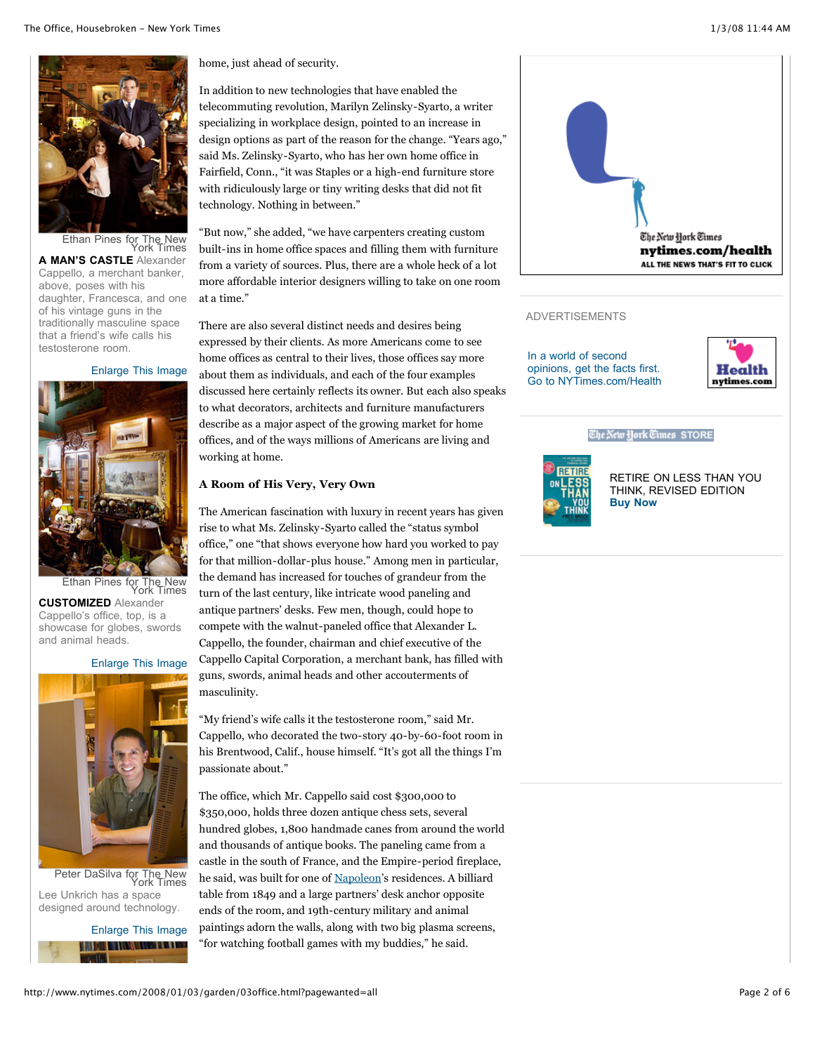

[Ethan Pines for The New](javascript:pop_me_up2() York Times **A MAN'S CASTLE** Alexander Cappello, a merchant banker, above, poses with his daughter, Francesca, and one of his vintage guns in the traditionally masculine space that a friend's wife calls his testosterone room.

[Enlarge This Image](javascript:pop_me_up2()



[Ethan Pines for The New](javascript:pop_me_up2() York Times **CUSTOMIZED** Alexander Cappello's office, top, is a showcase for globes, swords and animal heads.

[Enlarge This Image](javascript:pop_me_up2()



[Peter DaSilva for The New](javascript:pop_me_up2() York Times Lee Unkrich has a space designed around technology.



home, just ahead of security.

In addition to new technologies that have enabled the telecommuting revolution, Marilyn Zelinsky-Syarto, a writer specializing in workplace design, pointed to an increase in design options as part of the reason for the change. "Years ago," said Ms. Zelinsky-Syarto, who has her own home office in Fairfield, Conn., "it was Staples or a high-end furniture store with ridiculously large or tiny writing desks that did not fit technology. Nothing in between."

"But now," she added, "we have carpenters creating custom built-ins in home office spaces and filling them with furniture from a variety of sources. Plus, there are a whole heck of a lot more affordable interior designers willing to take on one room at a time."

There are also several distinct needs and desires being expressed by their clients. As more Americans come to see home offices as central to their lives, those offices say more about them as individuals, and each of the four examples discussed here certainly reflects its owner. But each also speaks to what decorators, architects and furniture manufacturers describe as a major aspect of the growing market for home offices, and of the ways millions of Americans are living and working at home.

#### **A Room of His Very, Very Own**

The American fascination with luxury in recent years has given rise to what Ms. Zelinsky-Syarto called the "status symbol office," one "that shows everyone how hard you worked to pay for that million-dollar-plus house." Among men in particular, the demand has increased for touches of grandeur from the turn of the last century, like intricate wood paneling and antique partners' desks. Few men, though, could hope to compete with the walnut-paneled office that Alexander L. Cappello, the founder, chairman and chief executive of the Cappello Capital Corporation, a merchant bank, has filled with guns, swords, animal heads and other accouterments of masculinity.

"My friend's wife calls it the testosterone room," said Mr. Cappello, who decorated the two-story 40-by-60-foot room in his Brentwood, Calif., house himself. "It's got all the things I'm passionate about."

The office, which Mr. Cappello said cost \$300,000 to \$350,000, holds three dozen antique chess sets, several hundred globes, 1,800 handmade canes from around the world and thousands of antique books. The paneling came from a castle in the south of France, and the Empire-period fireplace, he said, was built for one of [Napoleon'](http://topics.nytimes.com/top/reference/timestopics/people/n/napoleon_i/index.html?inline=nyt-per)s residences. A billiard table from 1849 and a large partners' desk anchor opposite ends of the room, and 19th-century military and animal paintings adorn the walls, along with two big plasma screens, "for watching football games with my buddies," he said.



#### ADVERTISEMENTS

In a world of second opinions, get the facts first. [Go to NYTimes.com/Health](http://www.nytimes.com/adx/bin/adx_click.html?type=goto&page=www.nytimes.com/yr/mo/day/garden&pos=Right8A&camp=NYT2008-Health-Jan-Txt-HP-ROS&ad=HL-D-I-NYT-AD-TXT-HL2-ROS-0108-NA&goto=http%3A%2F%2Fwww%2Enytimes%2Ecom%2Fpages%2Fhealth%2Findex%2Ehtml%3FWT%2Emc%5Fid%3DHL%2DD%2DI%2DNYT%2DAD%2DTXT%2DHL2%2DROS%2D0108%2DNA%26WT%2Emc%5Fev%3Dclick%26mkt%3DHL%2DD%2DI%2DNYT%2DAD%2DTXT%2DHL2%2DROS%2D0108%2DNA&query=2008.01.03.19.44.13)



#### The New York Times STORE



RETIRE ON LESS THAN YOU THINK, REVISED EDITION **[Buy Now](http://www.nytimes.com/adx/bin/adx_click.html?type=goto&page=www.nytimes.com/yr/mo/day/garden&pos=Middle5&camp=nytstore-newarticlesMay05-cont&ad=NSFFBK2&goto=%5F%5FQUERY%5F%5F&query=http://www.nytstore.com/ProdDetail.aspx%3fprodId%3d17109%26utm_source%3dNYTimes.com%26utm_medium%3dBanner%26utm_campaign%3dNYT-CCF)**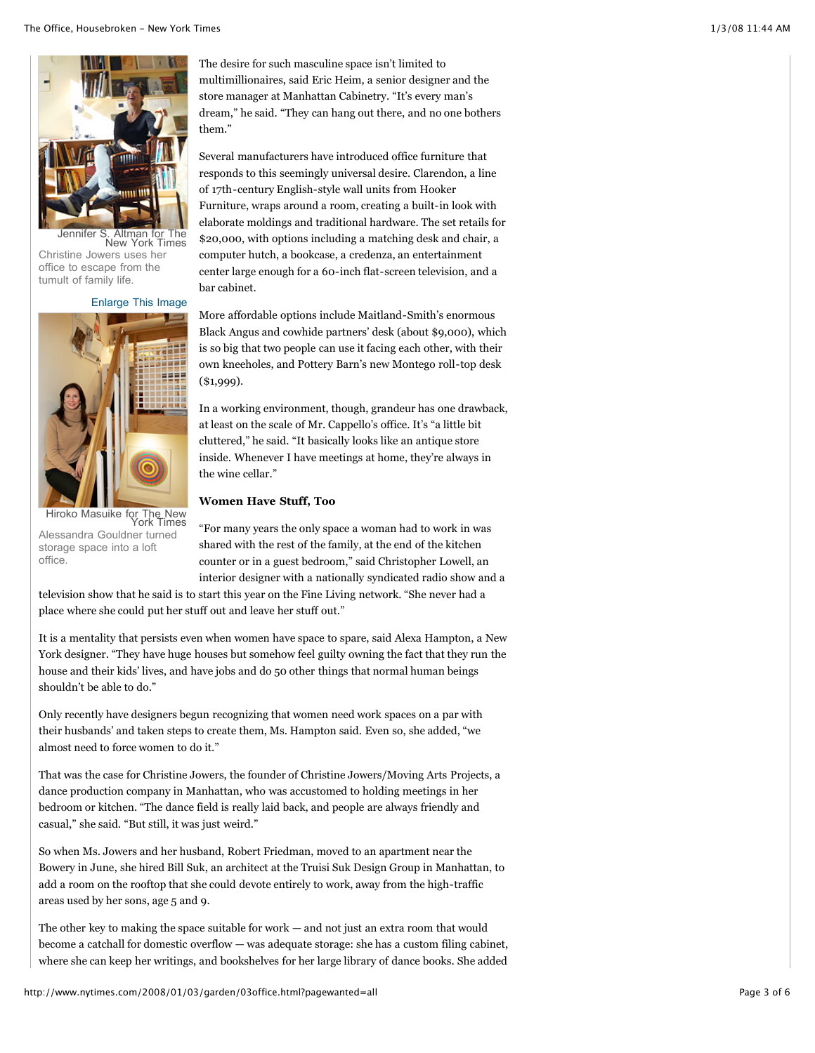

Jennifer S. Altman for The New York Times Christine Jowers uses her office to escape from the tumult of family life.

[Enlarge This Image](javascript:pop_me_up2()



[Hiroko Masuike for The New](javascript:pop_me_up2() York Times Alessandra Gouldner turned storage space into a loft office.

The desire for such masculine space isn't limited to multimillionaires, said Eric Heim, a senior designer and the store manager at Manhattan Cabinetry. "It's every man's dream," he said. "They can hang out there, and no one bothers them."

Several manufacturers have introduced office furniture that responds to this seemingly universal desire. Clarendon, a line of 17th-century English-style wall units from Hooker Furniture, wraps around a room, creating a built-in look with elaborate moldings and traditional hardware. The set retails for \$20,000, with options including a matching desk and chair, a computer hutch, a bookcase, a credenza, an entertainment center large enough for a 60-inch flat-screen television, and a bar cabinet.

More affordable options include Maitland-Smith's enormous Black Angus and cowhide partners' desk (about \$9,000), which is so big that two people can use it facing each other, with their own kneeholes, and Pottery Barn's new Montego roll-top desk (\$1,999).

In a working environment, though, grandeur has one drawback, at least on the scale of Mr. Cappello's office. It's "a little bit cluttered," he said. "It basically looks like an antique store inside. Whenever I have meetings at home, they're always in the wine cellar."

### **Women Have Stuff, Too**

"For many years the only space a woman had to work in was shared with the rest of the family, at the end of the kitchen counter or in a guest bedroom," said Christopher Lowell, an interior designer with a nationally syndicated radio show and a

television show that he said is to start this year on the Fine Living network. "She never had a place where she could put her stuff out and leave her stuff out."

It is a mentality that persists even when women have space to spare, said Alexa Hampton, a New York designer. "They have huge houses but somehow feel guilty owning the fact that they run the house and their kids' lives, and have jobs and do 50 other things that normal human beings shouldn't be able to do."

Only recently have designers begun recognizing that women need work spaces on a par with their husbands' and taken steps to create them, Ms. Hampton said. Even so, she added, "we almost need to force women to do it."

That was the case for Christine Jowers, the founder of Christine Jowers/Moving Arts Projects, a dance production company in Manhattan, who was accustomed to holding meetings in her bedroom or kitchen. "The dance field is really laid back, and people are always friendly and casual," she said. "But still, it was just weird."

So when Ms. Jowers and her husband, Robert Friedman, moved to an apartment near the Bowery in June, she hired Bill Suk, an architect at the Truisi Suk Design Group in Manhattan, to add a room on the rooftop that she could devote entirely to work, away from the high-traffic areas used by her sons, age 5 and 9.

The other key to making the space suitable for work — and not just an extra room that would become a catchall for domestic overflow — was adequate storage: she has a custom filing cabinet, where she can keep her writings, and bookshelves for her large library of dance books. She added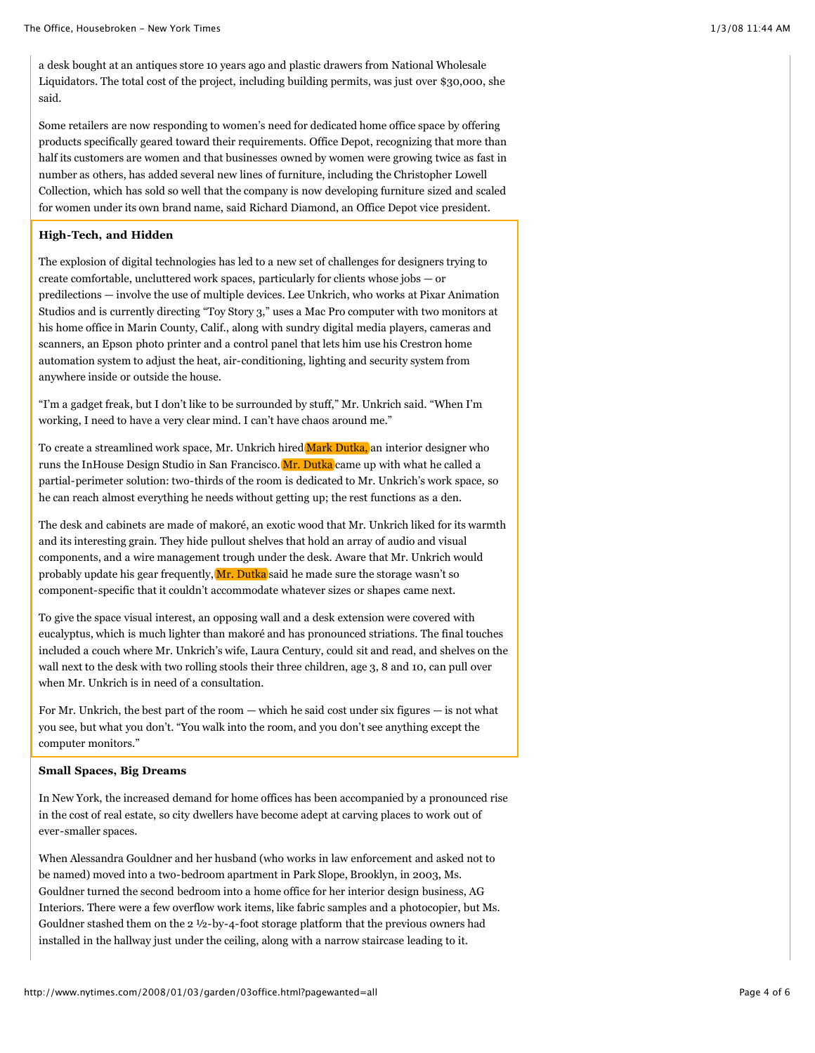a desk bought at an antiques store 10 years ago and plastic drawers from National Wholesale Liquidators. The total cost of the project, including building permits, was just over \$30,000, she said.

Some retailers are now responding to women's need for dedicated home office space by offering products specifically geared toward their requirements. Office Depot, recognizing that more than half its customers are women and that businesses owned by women were growing twice as fast in number as others, has added several new lines of furniture, including the Christopher Lowell Collection, which has sold so well that the company is now developing furniture sized and scaled for women under its own brand name, said Richard Diamond, an Office Depot vice president.

## **High-Tech, and Hidden**

The explosion of digital technologies has led to a new set of challenges for designers trying to create comfortable, uncluttered work spaces, particularly for clients whose jobs — or predilections — involve the use of multiple devices. Lee Unkrich, who works at Pixar Animation Studios and is currently directing "Toy Story 3," uses a Mac Pro computer with two monitors at his home office in Marin County, Calif., along with sundry digital media players, cameras and scanners, an Epson photo printer and a control panel that lets him use his Crestron home automation system to adjust the heat, air-conditioning, lighting and security system from anywhere inside or outside the house.

"I'm a gadget freak, but I don't like to be surrounded by stuff," Mr. Unkrich said. "When I'm working, I need to have a very clear mind. I can't have chaos around me."

To create a streamlined work space, Mr. Unkrich hired Mark Dutka, an interior designer who runs the InHouse Design Studio in San Francisco. Mr. Dutka came up with what he called a partial-perimeter solution: two-thirds of the room is dedicated to Mr. Unkrich's work space, so he can reach almost everything he needs without getting up; the rest functions as a den.

The desk and cabinets are made of makoré, an exotic wood that Mr. Unkrich liked for its warmth and its interesting grain. They hide pullout shelves that hold an array of audio and visual components, and a wire management trough under the desk. Aware that Mr. Unkrich would probably update his gear frequently,  $Mr.$  Dutka said he made sure the storage wasn't so component-specific that it couldn't accommodate whatever sizes or shapes came next.

To give the space visual interest, an opposing wall and a desk extension were covered with eucalyptus, which is much lighter than makoré and has pronounced striations. The final touches included a couch where Mr. Unkrich's wife, Laura Century, could sit and read, and shelves on the wall next to the desk with two rolling stools their three children, age 3, 8 and 10, can pull over when Mr. Unkrich is in need of a consultation.

For Mr. Unkrich, the best part of the room — which he said cost under six figures — is not what you see, but what you don't. "You walk into the room, and you don't see anything except the computer monitors."

## **Small Spaces, Big Dreams**

In New York, the increased demand for home offices has been accompanied by a pronounced rise in the cost of real estate, so city dwellers have become adept at carving places to work out of ever-smaller spaces.

When Alessandra Gouldner and her husband (who works in law enforcement and asked not to be named) moved into a two-bedroom apartment in Park Slope, Brooklyn, in 2003, Ms. Gouldner turned the second bedroom into a home office for her interior design business, AG Interiors. There were a few overflow work items, like fabric samples and a photocopier, but Ms. Gouldner stashed them on the 2 ½-by-4-foot storage platform that the previous owners had installed in the hallway just under the ceiling, along with a narrow staircase leading to it.